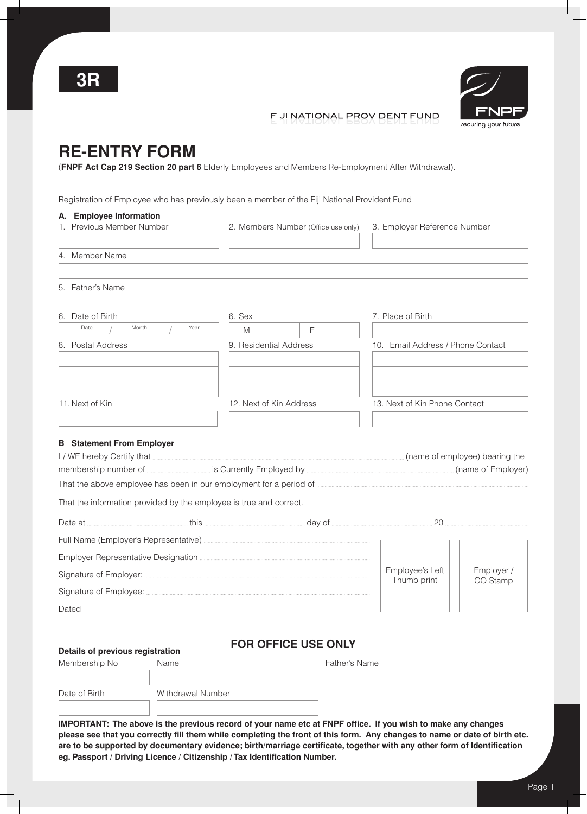

## FIJI NATIONAL PROVIDENT FUND

# **Re-Entry Form**

(**FNPF Act Cap 219 Section 20 part 6** Elderly Employees and Members Re-Employment After Withdrawal).

Registration of Employee who has previously been a member of the Fiji National Provident Fund

| A. Employee Information                                            |                                                                                                                                                                                                                                      |                                |                                                                                                                                                                                                                                     |  |  |  |  |  |  |
|--------------------------------------------------------------------|--------------------------------------------------------------------------------------------------------------------------------------------------------------------------------------------------------------------------------------|--------------------------------|-------------------------------------------------------------------------------------------------------------------------------------------------------------------------------------------------------------------------------------|--|--|--|--|--|--|
| 1. Previous Member Number                                          | 2. Members Number (Office use only)                                                                                                                                                                                                  |                                | 3. Employer Reference Number                                                                                                                                                                                                        |  |  |  |  |  |  |
| 4. Member Name                                                     |                                                                                                                                                                                                                                      |                                |                                                                                                                                                                                                                                     |  |  |  |  |  |  |
| 5. Father's Name                                                   |                                                                                                                                                                                                                                      |                                |                                                                                                                                                                                                                                     |  |  |  |  |  |  |
| 6. Date of Birth                                                   | 6. Sex                                                                                                                                                                                                                               | 7. Place of Birth              |                                                                                                                                                                                                                                     |  |  |  |  |  |  |
| Date<br>Month<br>Year                                              | F<br>M                                                                                                                                                                                                                               |                                |                                                                                                                                                                                                                                     |  |  |  |  |  |  |
| 8. Postal Address                                                  | 9. Residential Address                                                                                                                                                                                                               |                                | 10. Email Address / Phone Contact                                                                                                                                                                                                   |  |  |  |  |  |  |
| 11. Next of Kin                                                    | 12. Next of Kin Address                                                                                                                                                                                                              | 13. Next of Kin Phone Contact  |                                                                                                                                                                                                                                     |  |  |  |  |  |  |
|                                                                    |                                                                                                                                                                                                                                      |                                |                                                                                                                                                                                                                                     |  |  |  |  |  |  |
| <b>B</b> Statement From Employer                                   |                                                                                                                                                                                                                                      |                                |                                                                                                                                                                                                                                     |  |  |  |  |  |  |
|                                                                    |                                                                                                                                                                                                                                      |                                |                                                                                                                                                                                                                                     |  |  |  |  |  |  |
|                                                                    | membership number of <b>Container and Southern Contract of Contract of Contract of Contract of Contract of Contract of Contract of Contract of Contract of Contract of Contract of Contract of Contract of Contract of Contract </b> |                                |                                                                                                                                                                                                                                     |  |  |  |  |  |  |
|                                                                    |                                                                                                                                                                                                                                      |                                |                                                                                                                                                                                                                                     |  |  |  |  |  |  |
| That the information provided by the employee is true and correct. |                                                                                                                                                                                                                                      |                                |                                                                                                                                                                                                                                     |  |  |  |  |  |  |
|                                                                    |                                                                                                                                                                                                                                      |                                | Date at <u>www.was were this was were day of www.was were an allowing</u> 20 www.was were an allowing the stream this were day of www.was day of www.was and the stream and the stream that the stream the stream that the stream t |  |  |  |  |  |  |
|                                                                    |                                                                                                                                                                                                                                      |                                |                                                                                                                                                                                                                                     |  |  |  |  |  |  |
|                                                                    |                                                                                                                                                                                                                                      |                                |                                                                                                                                                                                                                                     |  |  |  |  |  |  |
|                                                                    |                                                                                                                                                                                                                                      | Employee's Left<br>Thumb print | Employer /<br>CO Stamp                                                                                                                                                                                                              |  |  |  |  |  |  |
|                                                                    |                                                                                                                                                                                                                                      |                                |                                                                                                                                                                                                                                     |  |  |  |  |  |  |
|                                                                    |                                                                                                                                                                                                                                      |                                |                                                                                                                                                                                                                                     |  |  |  |  |  |  |

## **For Office Use Only Details of previous registration**

| Details of previous registration |                   |               |  |  |  |  |  |  |
|----------------------------------|-------------------|---------------|--|--|--|--|--|--|
| Membership No                    | Name              | Father's Name |  |  |  |  |  |  |
|                                  |                   |               |  |  |  |  |  |  |
| Date of Birth                    | Withdrawal Number |               |  |  |  |  |  |  |
|                                  |                   |               |  |  |  |  |  |  |
|                                  |                   |               |  |  |  |  |  |  |

**IMPORTANT: The above is the previous record of your name etc at FNPF office. If you wish to make any changes please see that you correctly fill them while completing the front of this form. Any changes to name or date of birth etc. are to be supported by documentary evidence; birth/marriage certificate, together with any other form of Identification eg. Passport / Driving Licence / Citizenship / Tax Identification Number.**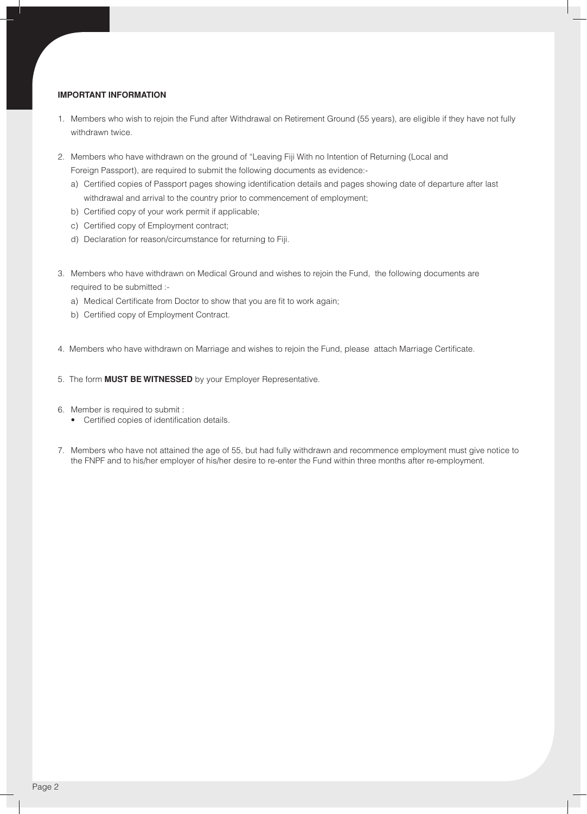#### **IMPORTANT INFORMATION**

- 1. Members who wish to rejoin the Fund after Withdrawal on Retirement Ground (55 years), are eligible if they have not fully withdrawn twice.
- 2. Members who have withdrawn on the ground of "Leaving Fiji With no Intention of Returning (Local and Foreign Passport), are required to submit the following documents as evidence:
	- a) Certified copies of Passport pages showing identification details and pages showing date of departure after last withdrawal and arrival to the country prior to commencement of employment;
	- b) Certified copy of your work permit if applicable;
	- c) Certified copy of Employment contract;
	- d) Declaration for reason/circumstance for returning to Fiji.
- 3. Members who have withdrawn on Medical Ground and wishes to rejoin the Fund, the following documents are required to be submitted :
	- a) Medical Certificate from Doctor to show that you are fit to work again;
	- b) Certified copy of Employment Contract.
- 4. Members who have withdrawn on Marriage and wishes to rejoin the Fund, please attach Marriage Certificate.
- 5. The form **MUST BE WITNESSED** by your Employer Representative.

6. Member is required to submit :

- • Certified copies of identification details.
- 7. Members who have not attained the age of 55, but had fully withdrawn and recommence employment must give notice to the FNPF and to his/her employer of his/her desire to re-enter the Fund within three months after re-employment.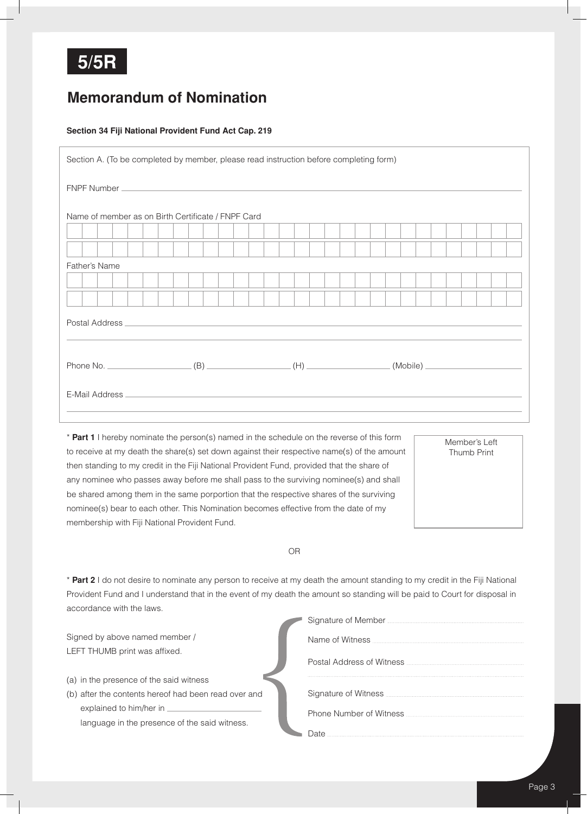

## **Memorandum of Nomination**

### **Section 34 Fiji National Provident Fund Act Cap. 219**

| Section A. (To be completed by member, please read instruction before completing form)                                                                                                                                         |  |  |  |  |  |  |  |  |  |  |  |  |  |  |  |  |  |  |  |  |  |  |
|--------------------------------------------------------------------------------------------------------------------------------------------------------------------------------------------------------------------------------|--|--|--|--|--|--|--|--|--|--|--|--|--|--|--|--|--|--|--|--|--|--|
| FNPF Number Leader and Contract and Contract and Contract and Contract and Contract and Contract and Contract and Contract and Contract and Contract and Contract and Contract and Contract and Contract and Contract and Cont |  |  |  |  |  |  |  |  |  |  |  |  |  |  |  |  |  |  |  |  |  |  |
| Name of member as on Birth Certificate / FNPF Card                                                                                                                                                                             |  |  |  |  |  |  |  |  |  |  |  |  |  |  |  |  |  |  |  |  |  |  |
|                                                                                                                                                                                                                                |  |  |  |  |  |  |  |  |  |  |  |  |  |  |  |  |  |  |  |  |  |  |
|                                                                                                                                                                                                                                |  |  |  |  |  |  |  |  |  |  |  |  |  |  |  |  |  |  |  |  |  |  |
| Father's Name                                                                                                                                                                                                                  |  |  |  |  |  |  |  |  |  |  |  |  |  |  |  |  |  |  |  |  |  |  |
|                                                                                                                                                                                                                                |  |  |  |  |  |  |  |  |  |  |  |  |  |  |  |  |  |  |  |  |  |  |
|                                                                                                                                                                                                                                |  |  |  |  |  |  |  |  |  |  |  |  |  |  |  |  |  |  |  |  |  |  |
|                                                                                                                                                                                                                                |  |  |  |  |  |  |  |  |  |  |  |  |  |  |  |  |  |  |  |  |  |  |
|                                                                                                                                                                                                                                |  |  |  |  |  |  |  |  |  |  |  |  |  |  |  |  |  |  |  |  |  |  |
|                                                                                                                                                                                                                                |  |  |  |  |  |  |  |  |  |  |  |  |  |  |  |  |  |  |  |  |  |  |
|                                                                                                                                                                                                                                |  |  |  |  |  |  |  |  |  |  |  |  |  |  |  |  |  |  |  |  |  |  |
|                                                                                                                                                                                                                                |  |  |  |  |  |  |  |  |  |  |  |  |  |  |  |  |  |  |  |  |  |  |
|                                                                                                                                                                                                                                |  |  |  |  |  |  |  |  |  |  |  |  |  |  |  |  |  |  |  |  |  |  |
|                                                                                                                                                                                                                                |  |  |  |  |  |  |  |  |  |  |  |  |  |  |  |  |  |  |  |  |  |  |

\* **Part 1** I hereby nominate the person(s) named in the schedule on the reverse of this form to receive at my death the share(s) set down against their respective name(s) of the amount then standing to my credit in the Fiji National Provident Fund, provided that the share of any nominee who passes away before me shall pass to the surviving nominee(s) and shall be shared among them in the same porportion that the respective shares of the surviving nominee(s) bear to each other. This Nomination becomes effective from the date of my membership with Fiji National Provident Fund.

Member's Left Thumb Print

OR

\* **Part 2** I do not desire to nominate any person to receive at my death the amount standing to my credit in the Fiji National Provident Fund and I understand that in the event of my death the amount so standing will be paid to Court for disposal in accordance with the laws.

Signed by above named member / LEFT THUMB print was affixed.

- (a) in the presence of the said witness
- (b) after the contents hereof had been read over and explained to him/her in language in the presence of the said witness.

| Signature of Member <b>Matubeller Contract Contract Contract Contract Contract Contract Contract Contract Contract Contract Contract Contract Contract Contract Contract Contract Contract Contract Contract Contract Contract</b> |
|------------------------------------------------------------------------------------------------------------------------------------------------------------------------------------------------------------------------------------|
| Name of Witness <b>Name of Witness</b>                                                                                                                                                                                             |
|                                                                                                                                                                                                                                    |
| Signature of Witness <b>Constitution</b> Signature of Witness <b>Constitution</b>                                                                                                                                                  |
|                                                                                                                                                                                                                                    |
| Date.                                                                                                                                                                                                                              |